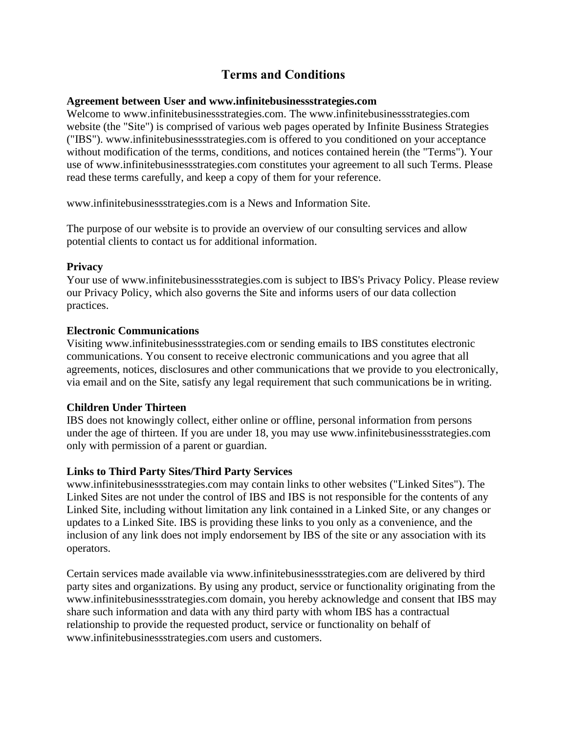# **Terms and Conditions**

# **Agreement between User and www.infinitebusinessstrategies.com**

Welcome to www.infinitebusinessstrategies.com. The www.infinitebusinessstrategies.com website (the "Site") is comprised of various web pages operated by Infinite Business Strategies ("IBS"). www.infinitebusinessstrategies.com is offered to you conditioned on your acceptance without modification of the terms, conditions, and notices contained herein (the "Terms"). Your use of www.infinitebusinessstrategies.com constitutes your agreement to all such Terms. Please read these terms carefully, and keep a copy of them for your reference.

www.infinitebusinessstrategies.com is a News and Information Site.

The purpose of our website is to provide an overview of our consulting services and allow potential clients to contact us for additional information.

# **Privacy**

Your use of www.infinitebusinessstrategies.com is subject to IBS's Privacy Policy. Please review our Privacy Policy, which also governs the Site and informs users of our data collection practices.

# **Electronic Communications**

Visiting www.infinitebusinessstrategies.com or sending emails to IBS constitutes electronic communications. You consent to receive electronic communications and you agree that all agreements, notices, disclosures and other communications that we provide to you electronically, via email and on the Site, satisfy any legal requirement that such communications be in writing.

# **Children Under Thirteen**

IBS does not knowingly collect, either online or offline, personal information from persons under the age of thirteen. If you are under 18, you may use www.infinitebusinessstrategies.com only with permission of a parent or guardian.

# **Links to Third Party Sites/Third Party Services**

www.infinitebusinessstrategies.com may contain links to other websites ("Linked Sites"). The Linked Sites are not under the control of IBS and IBS is not responsible for the contents of any Linked Site, including without limitation any link contained in a Linked Site, or any changes or updates to a Linked Site. IBS is providing these links to you only as a convenience, and the inclusion of any link does not imply endorsement by IBS of the site or any association with its operators.

Certain services made available via www.infinitebusinessstrategies.com are delivered by third party sites and organizations. By using any product, service or functionality originating from the www.infinitebusinessstrategies.com domain, you hereby acknowledge and consent that IBS may share such information and data with any third party with whom IBS has a contractual relationship to provide the requested product, service or functionality on behalf of www.infinitebusinessstrategies.com users and customers.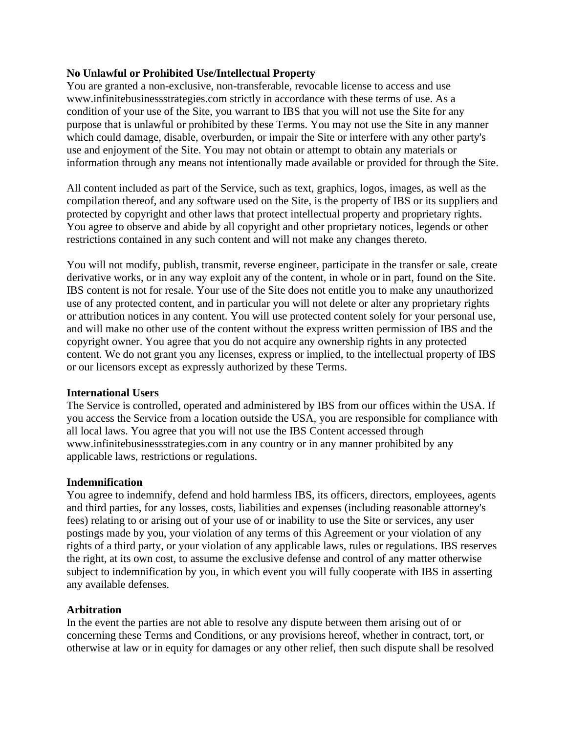# **No Unlawful or Prohibited Use/Intellectual Property**

You are granted a non-exclusive, non-transferable, revocable license to access and use www.infinitebusinessstrategies.com strictly in accordance with these terms of use. As a condition of your use of the Site, you warrant to IBS that you will not use the Site for any purpose that is unlawful or prohibited by these Terms. You may not use the Site in any manner which could damage, disable, overburden, or impair the Site or interfere with any other party's use and enjoyment of the Site. You may not obtain or attempt to obtain any materials or information through any means not intentionally made available or provided for through the Site.

All content included as part of the Service, such as text, graphics, logos, images, as well as the compilation thereof, and any software used on the Site, is the property of IBS or its suppliers and protected by copyright and other laws that protect intellectual property and proprietary rights. You agree to observe and abide by all copyright and other proprietary notices, legends or other restrictions contained in any such content and will not make any changes thereto.

You will not modify, publish, transmit, reverse engineer, participate in the transfer or sale, create derivative works, or in any way exploit any of the content, in whole or in part, found on the Site. IBS content is not for resale. Your use of the Site does not entitle you to make any unauthorized use of any protected content, and in particular you will not delete or alter any proprietary rights or attribution notices in any content. You will use protected content solely for your personal use, and will make no other use of the content without the express written permission of IBS and the copyright owner. You agree that you do not acquire any ownership rights in any protected content. We do not grant you any licenses, express or implied, to the intellectual property of IBS or our licensors except as expressly authorized by these Terms.

#### **International Users**

The Service is controlled, operated and administered by IBS from our offices within the USA. If you access the Service from a location outside the USA, you are responsible for compliance with all local laws. You agree that you will not use the IBS Content accessed through www.infinitebusinessstrategies.com in any country or in any manner prohibited by any applicable laws, restrictions or regulations.

#### **Indemnification**

You agree to indemnify, defend and hold harmless IBS, its officers, directors, employees, agents and third parties, for any losses, costs, liabilities and expenses (including reasonable attorney's fees) relating to or arising out of your use of or inability to use the Site or services, any user postings made by you, your violation of any terms of this Agreement or your violation of any rights of a third party, or your violation of any applicable laws, rules or regulations. IBS reserves the right, at its own cost, to assume the exclusive defense and control of any matter otherwise subject to indemnification by you, in which event you will fully cooperate with IBS in asserting any available defenses.

#### **Arbitration**

In the event the parties are not able to resolve any dispute between them arising out of or concerning these Terms and Conditions, or any provisions hereof, whether in contract, tort, or otherwise at law or in equity for damages or any other relief, then such dispute shall be resolved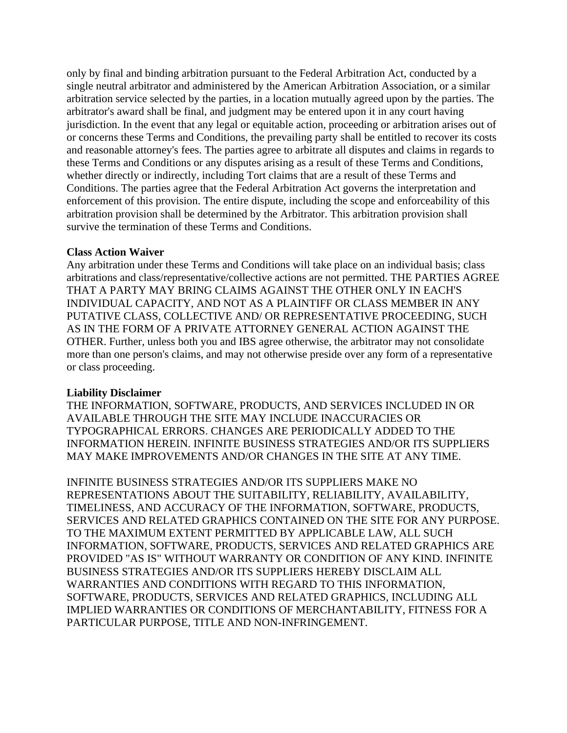only by final and binding arbitration pursuant to the Federal Arbitration Act, conducted by a single neutral arbitrator and administered by the American Arbitration Association, or a similar arbitration service selected by the parties, in a location mutually agreed upon by the parties. The arbitrator's award shall be final, and judgment may be entered upon it in any court having jurisdiction. In the event that any legal or equitable action, proceeding or arbitration arises out of or concerns these Terms and Conditions, the prevailing party shall be entitled to recover its costs and reasonable attorney's fees. The parties agree to arbitrate all disputes and claims in regards to these Terms and Conditions or any disputes arising as a result of these Terms and Conditions, whether directly or indirectly, including Tort claims that are a result of these Terms and Conditions. The parties agree that the Federal Arbitration Act governs the interpretation and enforcement of this provision. The entire dispute, including the scope and enforceability of this arbitration provision shall be determined by the Arbitrator. This arbitration provision shall survive the termination of these Terms and Conditions.

#### **Class Action Waiver**

Any arbitration under these Terms and Conditions will take place on an individual basis; class arbitrations and class/representative/collective actions are not permitted. THE PARTIES AGREE THAT A PARTY MAY BRING CLAIMS AGAINST THE OTHER ONLY IN EACH'S INDIVIDUAL CAPACITY, AND NOT AS A PLAINTIFF OR CLASS MEMBER IN ANY PUTATIVE CLASS, COLLECTIVE AND/ OR REPRESENTATIVE PROCEEDING, SUCH AS IN THE FORM OF A PRIVATE ATTORNEY GENERAL ACTION AGAINST THE OTHER. Further, unless both you and IBS agree otherwise, the arbitrator may not consolidate more than one person's claims, and may not otherwise preside over any form of a representative or class proceeding.

#### **Liability Disclaimer**

THE INFORMATION, SOFTWARE, PRODUCTS, AND SERVICES INCLUDED IN OR AVAILABLE THROUGH THE SITE MAY INCLUDE INACCURACIES OR TYPOGRAPHICAL ERRORS. CHANGES ARE PERIODICALLY ADDED TO THE INFORMATION HEREIN. INFINITE BUSINESS STRATEGIES AND/OR ITS SUPPLIERS MAY MAKE IMPROVEMENTS AND/OR CHANGES IN THE SITE AT ANY TIME.

INFINITE BUSINESS STRATEGIES AND/OR ITS SUPPLIERS MAKE NO REPRESENTATIONS ABOUT THE SUITABILITY, RELIABILITY, AVAILABILITY, TIMELINESS, AND ACCURACY OF THE INFORMATION, SOFTWARE, PRODUCTS, SERVICES AND RELATED GRAPHICS CONTAINED ON THE SITE FOR ANY PURPOSE. TO THE MAXIMUM EXTENT PERMITTED BY APPLICABLE LAW, ALL SUCH INFORMATION, SOFTWARE, PRODUCTS, SERVICES AND RELATED GRAPHICS ARE PROVIDED "AS IS" WITHOUT WARRANTY OR CONDITION OF ANY KIND. INFINITE BUSINESS STRATEGIES AND/OR ITS SUPPLIERS HEREBY DISCLAIM ALL WARRANTIES AND CONDITIONS WITH REGARD TO THIS INFORMATION, SOFTWARE, PRODUCTS, SERVICES AND RELATED GRAPHICS, INCLUDING ALL IMPLIED WARRANTIES OR CONDITIONS OF MERCHANTABILITY, FITNESS FOR A PARTICULAR PURPOSE, TITLE AND NON-INFRINGEMENT.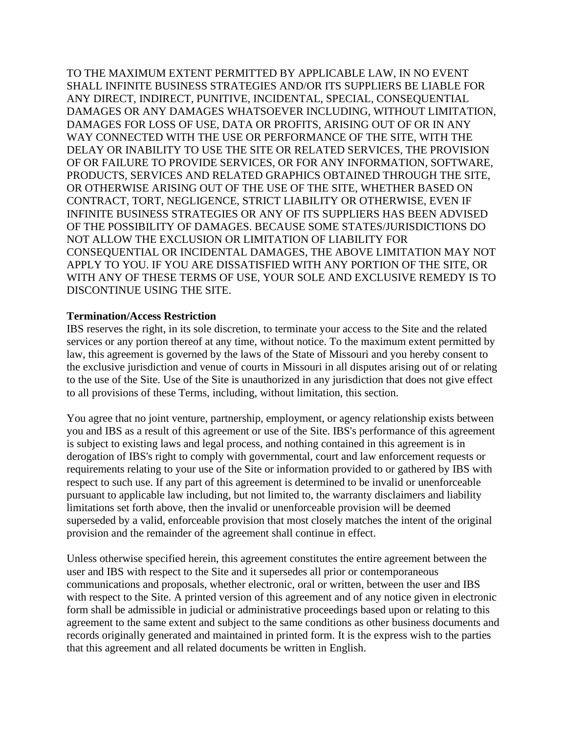TO THE MAXIMUM EXTENT PERMITTED BY APPLICABLE LAW, IN NO EVENT SHALL INFINITE BUSINESS STRATEGIES AND/OR ITS SUPPLIERS BE LIABLE FOR ANY DIRECT, INDIRECT, PUNITIVE, INCIDENTAL, SPECIAL, CONSEQUENTIAL DAMAGES OR ANY DAMAGES WHATSOEVER INCLUDING, WITHOUT LIMITATION, DAMAGES FOR LOSS OF USE, DATA OR PROFITS, ARISING OUT OF OR IN ANY WAY CONNECTED WITH THE USE OR PERFORMANCE OF THE SITE, WITH THE DELAY OR INABILITY TO USE THE SITE OR RELATED SERVICES, THE PROVISION OF OR FAILURE TO PROVIDE SERVICES, OR FOR ANY INFORMATION, SOFTWARE, PRODUCTS, SERVICES AND RELATED GRAPHICS OBTAINED THROUGH THE SITE, OR OTHERWISE ARISING OUT OF THE USE OF THE SITE, WHETHER BASED ON CONTRACT, TORT, NEGLIGENCE, STRICT LIABILITY OR OTHERWISE, EVEN IF INFINITE BUSINESS STRATEGIES OR ANY OF ITS SUPPLIERS HAS BEEN ADVISED OF THE POSSIBILITY OF DAMAGES. BECAUSE SOME STATES/JURISDICTIONS DO NOT ALLOW THE EXCLUSION OR LIMITATION OF LIABILITY FOR CONSEQUENTIAL OR INCIDENTAL DAMAGES, THE ABOVE LIMITATION MAY NOT APPLY TO YOU. IF YOU ARE DISSATISFIED WITH ANY PORTION OF THE SITE, OR WITH ANY OF THESE TERMS OF USE, YOUR SOLE AND EXCLUSIVE REMEDY IS TO DISCONTINUE USING THE SITE.

#### **Termination/Access Restriction**

IBS reserves the right, in its sole discretion, to terminate your access to the Site and the related services or any portion thereof at any time, without notice. To the maximum extent permitted by law, this agreement is governed by the laws of the State of Missouri and you hereby consent to the exclusive jurisdiction and venue of courts in Missouri in all disputes arising out of or relating to the use of the Site. Use of the Site is unauthorized in any jurisdiction that does not give effect to all provisions of these Terms, including, without limitation, this section.

You agree that no joint venture, partnership, employment, or agency relationship exists between you and IBS as a result of this agreement or use of the Site. IBS's performance of this agreement is subject to existing laws and legal process, and nothing contained in this agreement is in derogation of IBS's right to comply with governmental, court and law enforcement requests or requirements relating to your use of the Site or information provided to or gathered by IBS with respect to such use. If any part of this agreement is determined to be invalid or unenforceable pursuant to applicable law including, but not limited to, the warranty disclaimers and liability limitations set forth above, then the invalid or unenforceable provision will be deemed superseded by a valid, enforceable provision that most closely matches the intent of the original provision and the remainder of the agreement shall continue in effect.

Unless otherwise specified herein, this agreement constitutes the entire agreement between the user and IBS with respect to the Site and it supersedes all prior or contemporaneous communications and proposals, whether electronic, oral or written, between the user and IBS with respect to the Site. A printed version of this agreement and of any notice given in electronic form shall be admissible in judicial or administrative proceedings based upon or relating to this agreement to the same extent and subject to the same conditions as other business documents and records originally generated and maintained in printed form. It is the express wish to the parties that this agreement and all related documents be written in English.